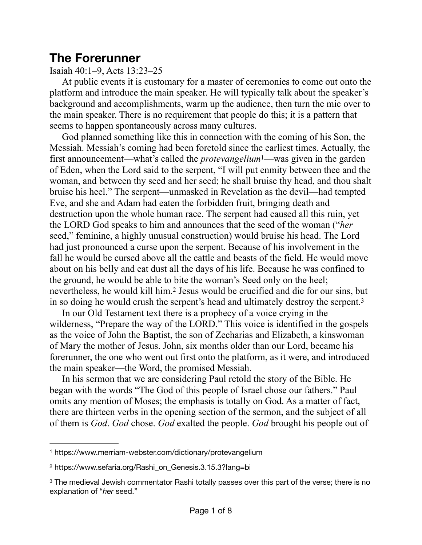# **The Forerunner**

#### Isaiah 40:1–9, Acts 13:23–25

At public events it is customary for a master of ceremonies to come out onto the platform and introduce the main speaker. He will typically talk about the speaker's background and accomplishments, warm up the audience, then turn the mic over to the main speaker. There is no requirement that people do this; it is a pattern that seems to happen spontaneously across many cultures.

<span id="page-0-3"></span>God planned something like this in connection with the coming of his Son, the Messiah. Messiah's coming had been foretold since the earliest times. Actually, the first announcement—what's called the *protevangelium* —was given in the garden of Eden, when the Lord said to the serpent, "I will put enmity between thee and the woman, and between thy seed and her seed; he shall bruise thy head, and thou shalt bruise his heel." The serpent—unmasked in Revelation as the devil—had tempted Eve, and she and Adam had eaten the forbidden fruit, bringing death and destruction upon the whole human race. The serpent had caused all this ruin, yet the LORD God speaks to him and announces that the seed of the woman ("*her* seed," feminine, a highly unusual construction) would bruise his head. The Lord had just pronounced a curse upon the serpent. Because of his involvement in the fall he would be cursed above all the cattle and beasts of the field. He would move about on his belly and eat dust all the days of his life. Because he was confined to the ground, he would be able to bite the woman's Seed only on the heel; nevertheless,he would kill him.<sup>[2](#page-0-1)</sup> Jesus would be crucified and die for our sins, but in so doing he would crush the serpent's head and ultimately destroy the serpent.[3](#page-0-2)

<span id="page-0-5"></span><span id="page-0-4"></span>In our Old Testament text there is a prophecy of a voice crying in the wilderness, "Prepare the way of the LORD." This voice is identified in the gospels as the voice of John the Baptist, the son of Zecharias and Elizabeth, a kinswoman of Mary the mother of Jesus. John, six months older than our Lord, became his forerunner, the one who went out first onto the platform, as it were, and introduced the main speaker—the Word, the promised Messiah.

In his sermon that we are considering Paul retold the story of the Bible. He began with the words "The God of this people of Israel chose our fathers." Paul omits any mention of Moses; the emphasis is totally on God. As a matter of fact, there are thirteen verbs in the opening section of the sermon, and the subject of all of them is *God*. *God* chose. *God* exalted the people. *God* brought his people out of

<span id="page-0-0"></span>[<sup>1</sup>](#page-0-3) https://www.merriam-webster.com/dictionary/protevangelium

<span id="page-0-1"></span>https://www.sefaria.org/Rashi\_on\_Genesis.3.15.3?lang=bi [2](#page-0-4)

<span id="page-0-2"></span><sup>&</sup>lt;sup>[3](#page-0-5)</sup> The medieval Jewish commentator Rashi totally passes over this part of the verse; there is no explanation of "*her* seed."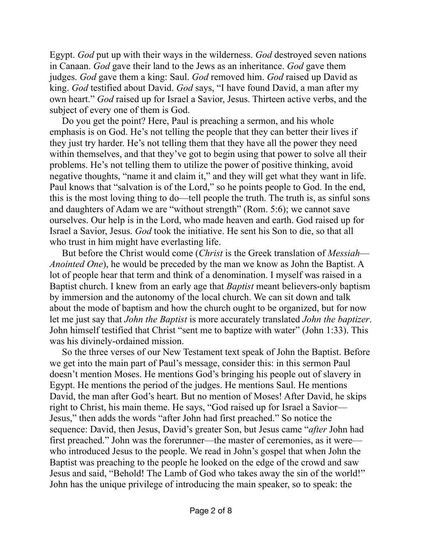Egypt. *God* put up with their ways in the wilderness. *God* destroyed seven nations in Canaan. *God* gave their land to the Jews as an inheritance. *God* gave them judges. *God* gave them a king: Saul. *God* removed him. *God* raised up David as king. *God* testified about David. *God* says, "I have found David, a man after my own heart." *God* raised up for Israel a Savior, Jesus. Thirteen active verbs, and the subject of every one of them is God.

Do you get the point? Here, Paul is preaching a sermon, and his whole emphasis is on God. He's not telling the people that they can better their lives if they just try harder. He's not telling them that they have all the power they need within themselves, and that they've got to begin using that power to solve all their problems. He's not telling them to utilize the power of positive thinking, avoid negative thoughts, "name it and claim it," and they will get what they want in life. Paul knows that "salvation is of the Lord," so he points people to God. In the end, this is the most loving thing to do—tell people the truth. The truth is, as sinful sons and daughters of Adam we are "without strength" (Rom. 5:6); we cannot save ourselves. Our help is in the Lord, who made heaven and earth. God raised up for Israel a Savior, Jesus. *God* took the initiative. He sent his Son to die, so that all who trust in him might have everlasting life.

But before the Christ would come (*Christ* is the Greek translation of *Messiah*— *Anointed One*), he would be preceded by the man we know as John the Baptist. A lot of people hear that term and think of a denomination. I myself was raised in a Baptist church. I knew from an early age that *Baptist* meant believers-only baptism by immersion and the autonomy of the local church. We can sit down and talk about the mode of baptism and how the church ought to be organized, but for now let me just say that *John the Baptist* is more accurately translated *John the baptizer*. John himself testified that Christ "sent me to baptize with water" (John 1:33). This was his divinely-ordained mission.

So the three verses of our New Testament text speak of John the Baptist. Before we get into the main part of Paul's message, consider this: in this sermon Paul doesn't mention Moses. He mentions God's bringing his people out of slavery in Egypt. He mentions the period of the judges. He mentions Saul. He mentions David, the man after God's heart. But no mention of Moses! After David, he skips right to Christ, his main theme. He says, "God raised up for Israel a Savior— Jesus," then adds the words "after John had first preached." So notice the sequence: David, then Jesus, David's greater Son, but Jesus came "*after* John had first preached." John was the forerunner—the master of ceremonies, as it were who introduced Jesus to the people. We read in John's gospel that when John the Baptist was preaching to the people he looked on the edge of the crowd and saw Jesus and said, "Behold! The Lamb of God who takes away the sin of the world!" John has the unique privilege of introducing the main speaker, so to speak: the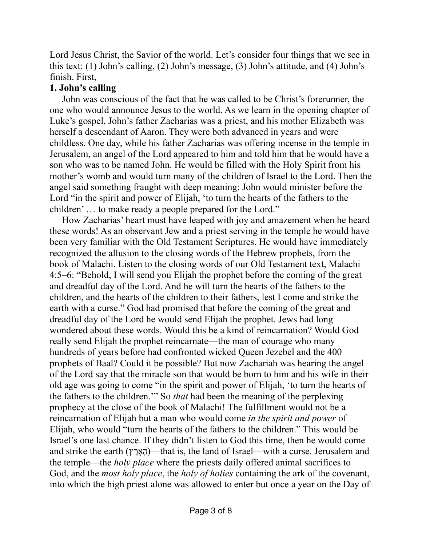Lord Jesus Christ, the Savior of the world. Let's consider four things that we see in this text: (1) John's calling, (2) John's message, (3) John's attitude, and (4) John's finish. First,

# **1. John's calling**

John was conscious of the fact that he was called to be Christ's forerunner, the one who would announce Jesus to the world. As we learn in the opening chapter of Luke's gospel, John's father Zacharias was a priest, and his mother Elizabeth was herself a descendant of Aaron. They were both advanced in years and were childless. One day, while his father Zacharias was offering incense in the temple in Jerusalem, an angel of the Lord appeared to him and told him that he would have a son who was to be named John. He would be filled with the Holy Spirit from his mother's womb and would turn many of the children of Israel to the Lord. Then the angel said something fraught with deep meaning: John would minister before the Lord "in the spirit and power of Elijah, 'to turn the hearts of the fathers to the children' … to make ready a people prepared for the Lord."

How Zacharias' heart must have leaped with joy and amazement when he heard these words! As an observant Jew and a priest serving in the temple he would have been very familiar with the Old Testament Scriptures. He would have immediately recognized the allusion to the closing words of the Hebrew prophets, from the book of Malachi. Listen to the closing words of our Old Testament text, Malachi 4:5–6: "Behold, I will send you Elijah the prophet before the coming of the great and dreadful day of the Lord. And he will turn the hearts of the fathers to the children, and the hearts of the children to their fathers, lest I come and strike the earth with a curse." God had promised that before the coming of the great and dreadful day of the Lord he would send Elijah the prophet. Jews had long wondered about these words. Would this be a kind of reincarnation? Would God really send Elijah the prophet reincarnate—the man of courage who many hundreds of years before had confronted wicked Queen Jezebel and the 400 prophets of Baal? Could it be possible? But now Zachariah was hearing the angel of the Lord say that the miracle son that would be born to him and his wife in their old age was going to come "in the spirit and power of Elijah, 'to turn the hearts of the fathers to the children.'" So *that* had been the meaning of the perplexing prophecy at the close of the book of Malachi! The fulfillment would not be a reincarnation of Elijah but a man who would come *in the spirit and power* of Elijah, who would "turn the hearts of the fathers to the children." This would be Israel's one last chance. If they didn't listen to God this time, then he would come and strike the earth (ץ ֶאָרָה—(that is, the land of Israel—with a curse. Jerusalem and the temple—the *holy place* where the priests daily offered animal sacrifices to God, and the *most holy place*, the *holy of holies* containing the ark of the covenant, into which the high priest alone was allowed to enter but once a year on the Day of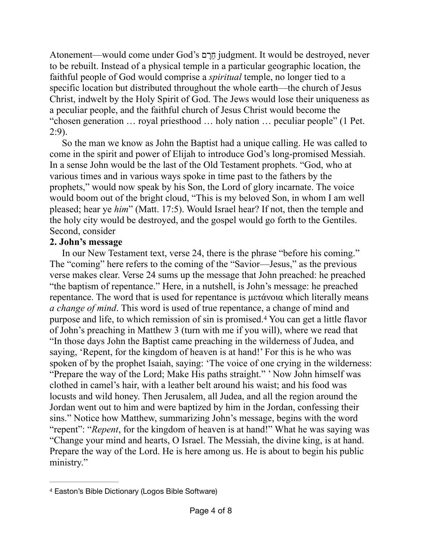Atonement—would come under God's ם ֶרֵח judgment. It would be destroyed, never to be rebuilt. Instead of a physical temple in a particular geographic location, the faithful people of God would comprise a *spiritual* temple, no longer tied to a specific location but distributed throughout the whole earth—the church of Jesus Christ, indwelt by the Holy Spirit of God. The Jews would lose their uniqueness as a peculiar people, and the faithful church of Jesus Christ would become the "chosen generation … royal priesthood … holy nation … peculiar people" (1 Pet. 2:9).

So the man we know as John the Baptist had a unique calling. He was called to come in the spirit and power of Elijah to introduce God's long-promised Messiah. In a sense John would be the last of the Old Testament prophets. "God, who at various times and in various ways spoke in time past to the fathers by the prophets," would now speak by his Son, the Lord of glory incarnate. The voice would boom out of the bright cloud, "This is my beloved Son, in whom I am well pleased; hear ye *him*" (Matt. 17:5). Would Israel hear? If not, then the temple and the holy city would be destroyed, and the gospel would go forth to the Gentiles. Second, consider

### **2. John's message**

<span id="page-3-1"></span>In our New Testament text, verse 24, there is the phrase "before his coming." The "coming" here refers to the coming of the "Savior—Jesus," as the previous verse makes clear. Verse 24 sums up the message that John preached: he preached "the baptism of repentance." Here, in a nutshell, is John's message: he preached repentance. The word that is used for repentance is µετάνοια which literally means *a change of mind*. This word is used of true repentance, a change of mind and purpose and life, to which remission of sin is promised.<sup>[4](#page-3-0)</sup> You can get a little flavor of John's preaching in Matthew 3 (turn with me if you will), where we read that "In those days John the Baptist came preaching in the wilderness of Judea, and saying, 'Repent, for the kingdom of heaven is at hand!' For this is he who was spoken of by the prophet Isaiah, saying: 'The voice of one crying in the wilderness: "Prepare the way of the Lord; Make His paths straight." ' Now John himself was clothed in camel's hair, with a leather belt around his waist; and his food was locusts and wild honey. Then Jerusalem, all Judea, and all the region around the Jordan went out to him and were baptized by him in the Jordan, confessing their sins." Notice how Matthew, summarizing John's message, begins with the word "repent": "*Repent*, for the kingdom of heaven is at hand!" What he was saying was "Change your mind and hearts, O Israel. The Messiah, the divine king, is at hand. Prepare the way of the Lord. He is here among us. He is about to begin his public ministry."

<span id="page-3-0"></span>Easton's Bible Dictionary (Logos Bible Software) [4](#page-3-1)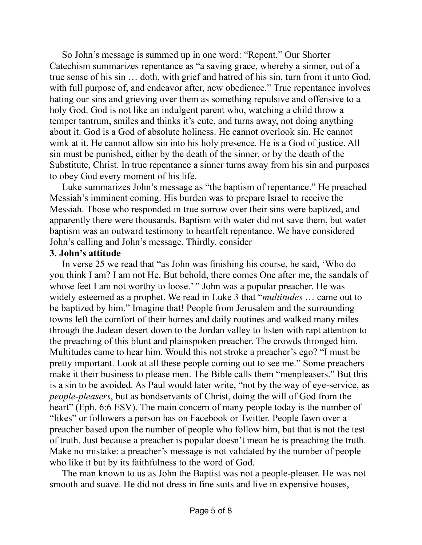So John's message is summed up in one word: "Repent." Our Shorter Catechism summarizes repentance as "a saving grace, whereby a sinner, out of a true sense of his sin … doth, with grief and hatred of his sin, turn from it unto God, with full purpose of, and endeavor after, new obedience." True repentance involves hating our sins and grieving over them as something repulsive and offensive to a holy God. God is not like an indulgent parent who, watching a child throw a temper tantrum, smiles and thinks it's cute, and turns away, not doing anything about it. God is a God of absolute holiness. He cannot overlook sin. He cannot wink at it. He cannot allow sin into his holy presence. He is a God of justice. All sin must be punished, either by the death of the sinner, or by the death of the Substitute, Christ. In true repentance a sinner turns away from his sin and purposes to obey God every moment of his life.

Luke summarizes John's message as "the baptism of repentance." He preached Messiah's imminent coming. His burden was to prepare Israel to receive the Messiah. Those who responded in true sorrow over their sins were baptized, and apparently there were thousands. Baptism with water did not save them, but water baptism was an outward testimony to heartfelt repentance. We have considered John's calling and John's message. Thirdly, consider

#### **3. John's attitude**

In verse 25 we read that "as John was finishing his course, he said, 'Who do you think I am? I am not He. But behold, there comes One after me, the sandals of whose feet I am not worthy to loose.' " John was a popular preacher. He was widely esteemed as a prophet. We read in Luke 3 that "*multitudes* … came out to be baptized by him." Imagine that! People from Jerusalem and the surrounding towns left the comfort of their homes and daily routines and walked many miles through the Judean desert down to the Jordan valley to listen with rapt attention to the preaching of this blunt and plainspoken preacher. The crowds thronged him. Multitudes came to hear him. Would this not stroke a preacher's ego? "I must be pretty important. Look at all these people coming out to see me." Some preachers make it their business to please men. The Bible calls them "menpleasers." But this is a sin to be avoided. As Paul would later write, "not by the way of eye-service, as *people-pleasers*, but as bondservants of Christ, doing the will of God from the heart" (Eph. 6:6 ESV). The main concern of many people today is the number of "likes" or followers a person has on Facebook or Twitter. People fawn over a preacher based upon the number of people who follow him, but that is not the test of truth. Just because a preacher is popular doesn't mean he is preaching the truth. Make no mistake: a preacher's message is not validated by the number of people who like it but by its faithfulness to the word of God.

The man known to us as John the Baptist was not a people-pleaser. He was not smooth and suave. He did not dress in fine suits and live in expensive houses,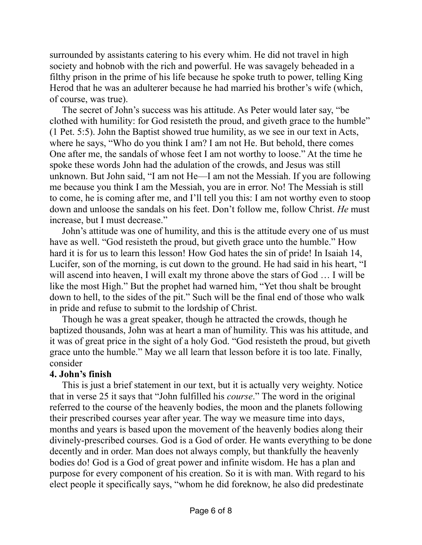surrounded by assistants catering to his every whim. He did not travel in high society and hobnob with the rich and powerful. He was savagely beheaded in a filthy prison in the prime of his life because he spoke truth to power, telling King Herod that he was an adulterer because he had married his brother's wife (which, of course, was true).

The secret of John's success was his attitude. As Peter would later say, "be clothed with humility: for God resisteth the proud, and giveth grace to the humble" (1 Pet. 5:5). John the Baptist showed true humility, as we see in our text in Acts, where he says, "Who do you think I am? I am not He. But behold, there comes One after me, the sandals of whose feet I am not worthy to loose." At the time he spoke these words John had the adulation of the crowds, and Jesus was still unknown. But John said, "I am not He—I am not the Messiah. If you are following me because you think I am the Messiah, you are in error. No! The Messiah is still to come, he is coming after me, and I'll tell you this: I am not worthy even to stoop down and unloose the sandals on his feet. Don't follow me, follow Christ. *He* must increase, but I must decrease."

John's attitude was one of humility, and this is the attitude every one of us must have as well. "God resisteth the proud, but giveth grace unto the humble." How hard it is for us to learn this lesson! How God hates the sin of pride! In Isaiah 14, Lucifer, son of the morning, is cut down to the ground. He had said in his heart, "I will ascend into heaven, I will exalt my throne above the stars of God … I will be like the most High." But the prophet had warned him, "Yet thou shalt be brought down to hell, to the sides of the pit." Such will be the final end of those who walk in pride and refuse to submit to the lordship of Christ.

Though he was a great speaker, though he attracted the crowds, though he baptized thousands, John was at heart a man of humility. This was his attitude, and it was of great price in the sight of a holy God. "God resisteth the proud, but giveth grace unto the humble." May we all learn that lesson before it is too late. Finally, consider

# **4. John's finish**

This is just a brief statement in our text, but it is actually very weighty. Notice that in verse 25 it says that "John fulfilled his *course*." The word in the original referred to the course of the heavenly bodies, the moon and the planets following their prescribed courses year after year. The way we measure time into days, months and years is based upon the movement of the heavenly bodies along their divinely-prescribed courses. God is a God of order. He wants everything to be done decently and in order. Man does not always comply, but thankfully the heavenly bodies do! God is a God of great power and infinite wisdom. He has a plan and purpose for every component of his creation. So it is with man. With regard to his elect people it specifically says, "whom he did foreknow, he also did predestinate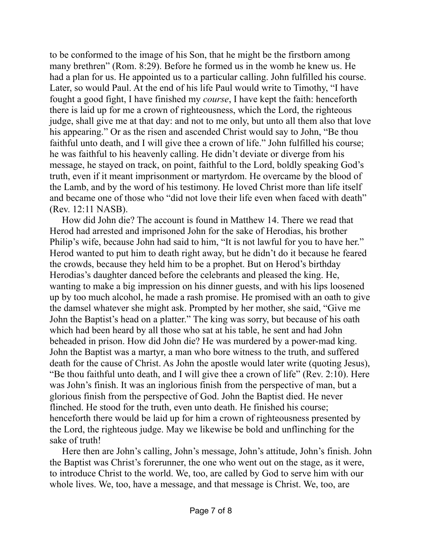to be conformed to the image of his Son, that he might be the firstborn among many brethren" (Rom. 8:29). Before he formed us in the womb he knew us. He had a plan for us. He appointed us to a particular calling. John fulfilled his course. Later, so would Paul. At the end of his life Paul would write to Timothy, "I have fought a good fight, I have finished my *course*, I have kept the faith: henceforth there is laid up for me a crown of righteousness, which the Lord, the righteous judge, shall give me at that day: and not to me only, but unto all them also that love his appearing." Or as the risen and ascended Christ would say to John, "Be thou faithful unto death, and I will give thee a crown of life." John fulfilled his course; he was faithful to his heavenly calling. He didn't deviate or diverge from his message, he stayed on track, on point, faithful to the Lord, boldly speaking God's truth, even if it meant imprisonment or martyrdom. He overcame by the blood of the Lamb, and by the word of his testimony. He loved Christ more than life itself and became one of those who "did not love their life even when faced with death" (Rev. 12:11 NASB).

How did John die? The account is found in Matthew 14. There we read that Herod had arrested and imprisoned John for the sake of Herodias, his brother Philip's wife, because John had said to him, "It is not lawful for you to have her." Herod wanted to put him to death right away, but he didn't do it because he feared the crowds, because they held him to be a prophet. But on Herod's birthday Herodias's daughter danced before the celebrants and pleased the king. He, wanting to make a big impression on his dinner guests, and with his lips loosened up by too much alcohol, he made a rash promise. He promised with an oath to give the damsel whatever she might ask. Prompted by her mother, she said, "Give me John the Baptist's head on a platter." The king was sorry, but because of his oath which had been heard by all those who sat at his table, he sent and had John beheaded in prison. How did John die? He was murdered by a power-mad king. John the Baptist was a martyr, a man who bore witness to the truth, and suffered death for the cause of Christ. As John the apostle would later write (quoting Jesus), "Be thou faithful unto death, and I will give thee a crown of life" (Rev. 2:10). Here was John's finish. It was an inglorious finish from the perspective of man, but a glorious finish from the perspective of God. John the Baptist died. He never flinched. He stood for the truth, even unto death. He finished his course; henceforth there would be laid up for him a crown of righteousness presented by the Lord, the righteous judge. May we likewise be bold and unflinching for the sake of truth!

Here then are John's calling, John's message, John's attitude, John's finish. John the Baptist was Christ's forerunner, the one who went out on the stage, as it were, to introduce Christ to the world. We, too, are called by God to serve him with our whole lives. We, too, have a message, and that message is Christ. We, too, are